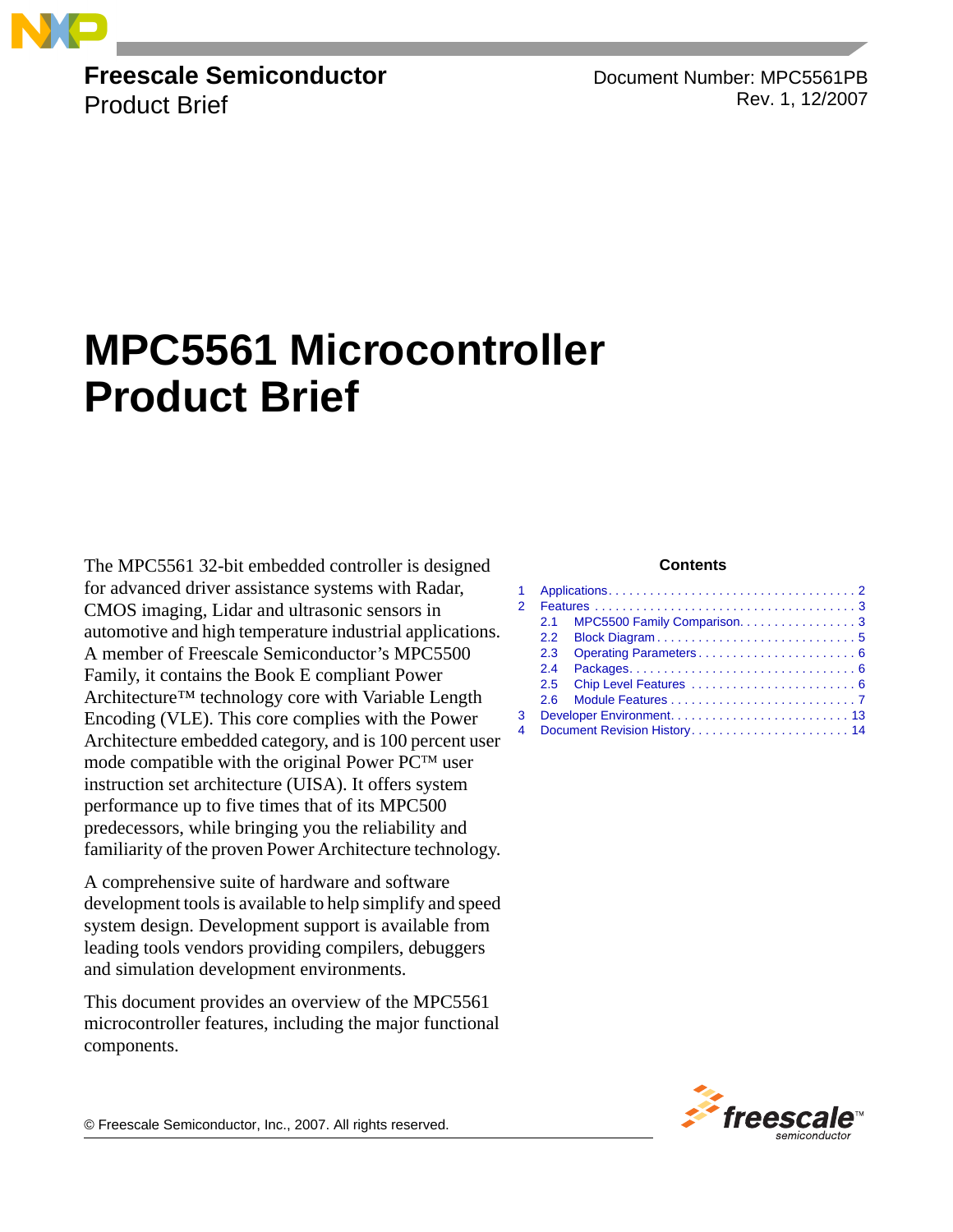

**Freescale Semiconductor** Product Brief

Document Number: MPC5561PB Rev. 1, 12/2007

# **MPC5561 Microcontroller Product Brief**

The MPC5561 32-bit embedded controller is designed for advanced driver assistance systems with Radar, CMOS imaging, Lidar and ultrasonic sensors in automotive and high temperature industrial applications. A member of Freescale Semiconductor's MPC5500 Family, it contains the Book E compliant Power Architecture™ technology core with Variable Length Encoding (VLE). This core complies with the Power Architecture embedded category, and is 100 percent user mode compatible with the original Power PC™ user instruction set architecture (UISA). It offers system performance up to five times that of its MPC500 predecessors, while bringing you the reliability and familiarity of the proven Power Architecture technology.

A comprehensive suite of hardware and software development tools is available to help simplify and speed system design. Development support is available from leading tools vendors providing compilers, debuggers and simulation development environments.

This document provides an overview of the MPC5561 microcontroller features, including the major functional components.

#### **Contents**

| 1. |         |                              |  |  |  |  |
|----|---------|------------------------------|--|--|--|--|
| 2. |         |                              |  |  |  |  |
|    | $2.1 -$ | MPC5500 Family Comparison. 3 |  |  |  |  |
|    | 2.2     |                              |  |  |  |  |
|    | 2.3     |                              |  |  |  |  |
|    | 2.4     |                              |  |  |  |  |
|    |         |                              |  |  |  |  |
|    | 26      |                              |  |  |  |  |
| 3  |         |                              |  |  |  |  |
| 4  |         |                              |  |  |  |  |



© Freescale Semiconductor, Inc., 2007. All rights reserved.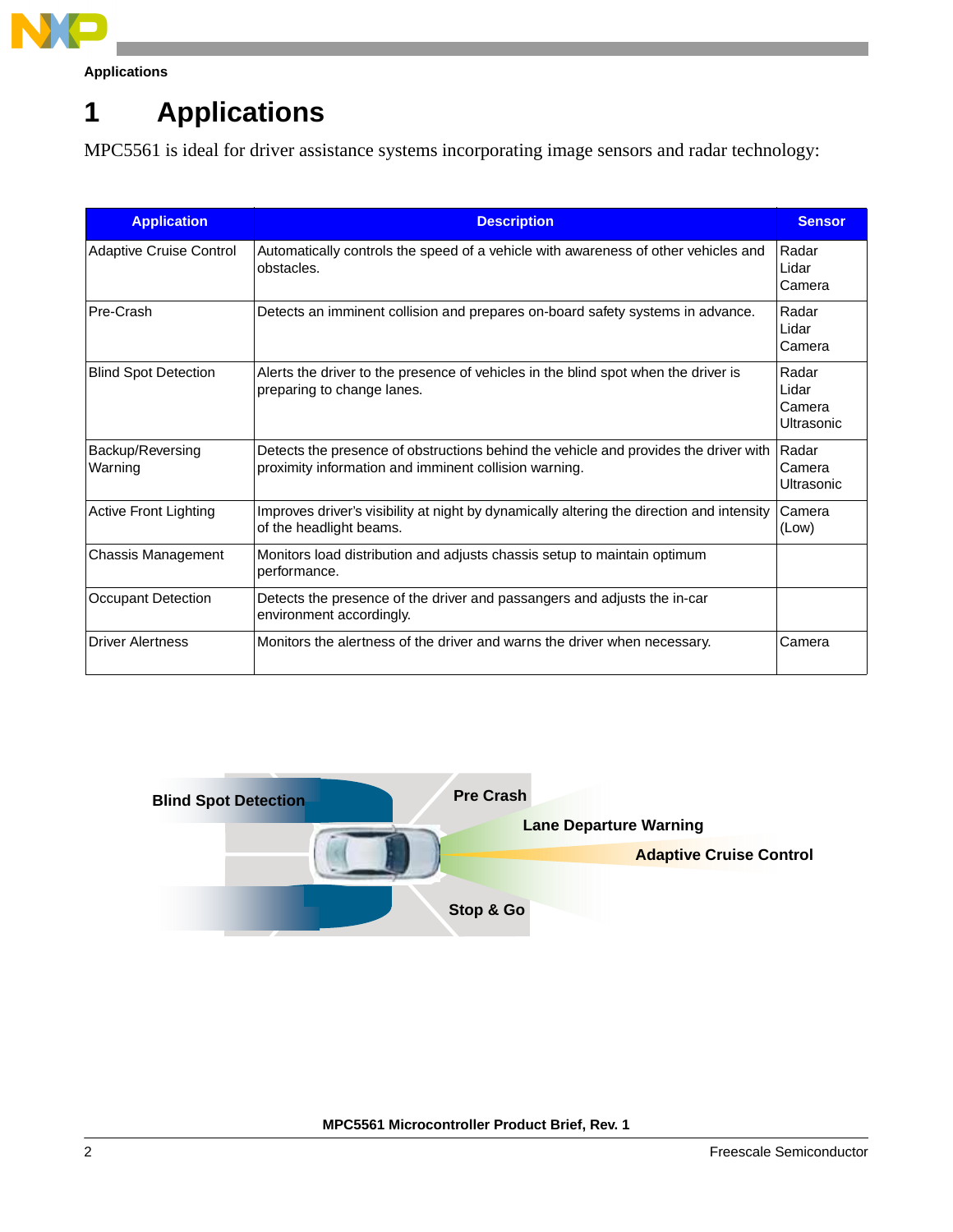

**Applications**

# **1 Applications**

MPC5561 is ideal for driver assistance systems incorporating image sensors and radar technology:

| <b>Application</b>             | <b>Description</b>                                                                                                                            | <b>Sensor</b>                          |  |  |  |  |  |
|--------------------------------|-----------------------------------------------------------------------------------------------------------------------------------------------|----------------------------------------|--|--|--|--|--|
| <b>Adaptive Cruise Control</b> | Automatically controls the speed of a vehicle with awareness of other vehicles and<br>Radar<br>Lidar<br>obstacles.                            |                                        |  |  |  |  |  |
| Pre-Crash                      | Detects an imminent collision and prepares on-board safety systems in advance.                                                                | Radar<br>Lidar<br>Camera               |  |  |  |  |  |
| <b>Blind Spot Detection</b>    | Alerts the driver to the presence of vehicles in the blind spot when the driver is<br>preparing to change lanes.                              | Radar<br>Lidar<br>Camera<br>Ultrasonic |  |  |  |  |  |
| Backup/Reversing<br>Warning    | Detects the presence of obstructions behind the vehicle and provides the driver with<br>proximity information and imminent collision warning. | Radar<br>Camera<br>Ultrasonic          |  |  |  |  |  |
| Active Front Lighting          | Improves driver's visibility at night by dynamically altering the direction and intensity<br>of the headlight beams.                          | Camera<br>(Low)                        |  |  |  |  |  |
| Chassis Management             | Monitors load distribution and adjusts chassis setup to maintain optimum<br>performance.                                                      |                                        |  |  |  |  |  |
| Occupant Detection             | Detects the presence of the driver and passangers and adjusts the in-car<br>environment accordingly.                                          |                                        |  |  |  |  |  |
| <b>Driver Alertness</b>        | Monitors the alertness of the driver and warns the driver when necessary.                                                                     | Camera                                 |  |  |  |  |  |



**MPC5561 Microcontroller Product Brief, Rev. 1**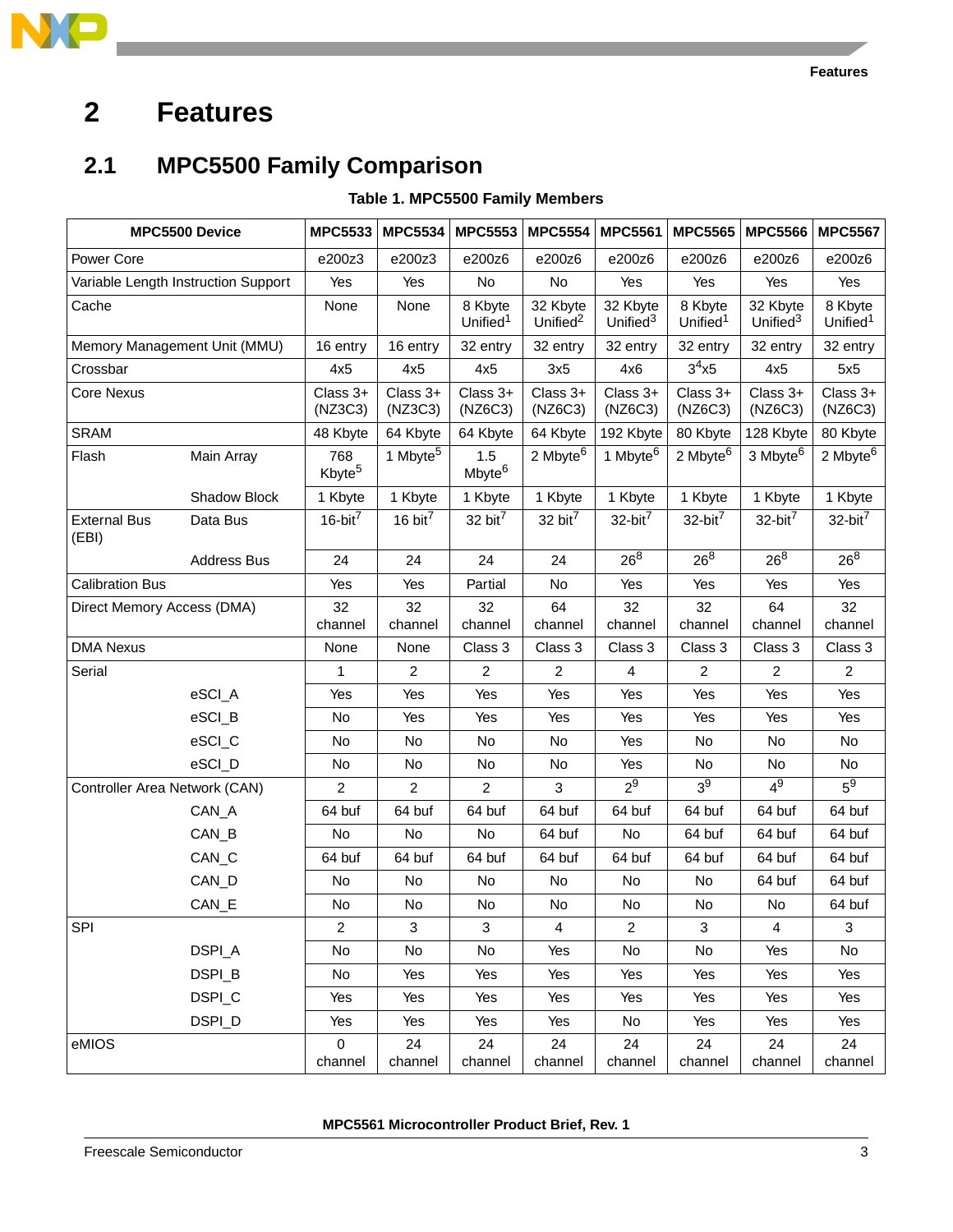

# <span id="page-2-1"></span><span id="page-2-0"></span>**2.1 MPC5500 Family Comparison**

#### **Table 1. MPC5500 Family Members**

| <b>MPC5500 Device</b>               |                    | <b>MPC5533</b>            | <b>MPC5534</b>       | <b>MPC5553</b>                  | <b>MPC5554</b>                   | <b>MPC5561</b>                   | <b>MPC5565</b>                  | <b>MPC5566</b>                   | <b>MPC5567</b>                  |
|-------------------------------------|--------------------|---------------------------|----------------------|---------------------------------|----------------------------------|----------------------------------|---------------------------------|----------------------------------|---------------------------------|
| Power Core                          |                    | e200z3                    | e200z3               | e200z6                          | e200z6                           | e200z6                           | e200z6                          | e200z6                           | e200z6                          |
| Variable Length Instruction Support |                    | Yes                       | Yes                  | <b>No</b>                       | <b>No</b>                        | Yes                              | Yes                             | Yes                              | Yes                             |
| Cache                               |                    | None                      | None                 | 8 Kbyte<br>Unified <sup>1</sup> | 32 Kbyte<br>Unified <sup>2</sup> | 32 Kbyte<br>Unified <sup>3</sup> | 8 Kbyte<br>Unified <sup>1</sup> | 32 Kbyte<br>Unified <sup>3</sup> | 8 Kbyte<br>Unified <sup>1</sup> |
| Memory Management Unit (MMU)        |                    | 16 entry                  | 16 entry             | 32 entry                        | 32 entry                         | 32 entry                         | 32 entry                        | 32 entry                         | 32 entry                        |
| Crossbar                            |                    | 4x5                       | 4x5                  | 4x5                             | 3x5                              | 4x6                              | $34$ x5                         | 4x5                              | 5x5                             |
| <b>Core Nexus</b>                   |                    | Class 3+<br>(NZ3C3)       | Class 3+<br>(NZ3C3)  | Class 3+<br>(NZ6C3)             | Class 3+<br>(NZ6C3)              | Class 3+<br>(NZ6C3)              | Class 3+<br>(NZ6C3)             | Class 3+<br>(NZ6C3)              | Class 3+<br>(NZ6C3)             |
| <b>SRAM</b>                         |                    | 48 Kbyte                  | 64 Kbyte             | 64 Kbyte                        | 64 Kbyte                         | 192 Kbyte                        | 80 Kbyte                        | 128 Kbyte                        | 80 Kbyte                        |
| Flash                               | Main Array         | 768<br>Kbyte <sup>5</sup> | 1 Mbyte <sup>5</sup> | 1.5<br>Mbyte <sup>6</sup>       | 2 Mbyte <sup>6</sup>             | 1 Mbyte <sup>6</sup>             | 2 Mbyte <sup>6</sup>            | 3 Mbyte <sup>6</sup>             | 2 Mbyte <sup>6</sup>            |
|                                     | Shadow Block       | 1 Kbyte                   | 1 Kbyte              | 1 Kbyte                         | 1 Kbyte                          | 1 Kbyte                          | 1 Kbyte                         | 1 Kbyte                          | 1 Kbyte                         |
| <b>External Bus</b><br>(EBI)        | Data Bus           | $16$ -bit $^7$            | 16 bit $^7$          | $32$ bit <sup>7</sup>           | $32$ bit <sup>7</sup>            | $32$ -bit $^7$                   | $32-bit^7$                      | $32$ -bit <sup>7</sup>           | $32-bit7$                       |
|                                     | <b>Address Bus</b> | 24                        | 24                   | 24                              | 24                               | $26^8$                           | $26^{8}$                        | $26^{8}$                         | $26^8$                          |
| <b>Calibration Bus</b>              |                    | Yes                       | Yes                  | Partial                         | No                               | Yes                              | Yes                             | Yes                              | Yes                             |
| Direct Memory Access (DMA)          |                    | 32<br>channel             | 32<br>channel        | 32<br>channel                   | 64<br>channel                    | 32<br>channel                    | 32<br>channel                   | 64<br>channel                    | 32<br>channel                   |
| <b>DMA Nexus</b>                    |                    | None                      | None                 | Class 3                         | Class 3                          | Class 3                          | Class 3                         | Class 3                          | Class 3                         |
| Serial                              |                    | 1                         | $\overline{c}$       | $\overline{c}$                  | $\overline{c}$                   | 4                                | $\overline{c}$                  | $\overline{c}$                   | $\overline{c}$                  |
|                                     | eSCI_A             | Yes                       | Yes                  | Yes                             | Yes                              | Yes                              | Yes                             | Yes                              | Yes                             |
|                                     | eSCI_B             | No                        | Yes                  | Yes                             | Yes                              | Yes                              | Yes                             | Yes                              | Yes                             |
|                                     | eSCI_C             | No                        | No                   | No                              | No                               | Yes                              | No                              | No                               | No                              |
|                                     | eSCI_D             | No                        | No                   | No                              | No                               | Yes                              | No                              | No                               | No                              |
| Controller Area Network (CAN)       |                    | $\overline{2}$            | 2                    | $\overline{c}$                  | 3                                | $2^9$                            | 3 <sup>9</sup>                  | 4 <sup>9</sup>                   | 5 <sup>9</sup>                  |
|                                     | CAN_A              | 64 buf                    | 64 buf               | 64 buf                          | 64 buf                           | 64 buf                           | 64 buf                          | 64 buf                           | 64 buf                          |
|                                     | $CAN_B$            | No                        | No                   | No                              | 64 buf                           | No                               | 64 buf                          | 64 buf                           | 64 buf                          |
|                                     | CAN_C              | 64 buf                    | 64 buf               | 64 buf                          | 64 buf                           | 64 buf                           | 64 buf                          | 64 buf                           | 64 buf                          |
|                                     | CAN_D              | No                        | No                   | No                              | No                               | No                               | No                              | 64 buf                           | 64 buf                          |
|                                     | CAN_E              | No                        | No                   | No                              | No                               | No                               | No                              | No                               | 64 buf                          |
| SPI                                 |                    | $\overline{c}$            | $\mathbf{3}$         | $\ensuremath{\mathsf{3}}$       | 4                                | $\overline{c}$                   | $\ensuremath{\mathsf{3}}$       | 4                                | $\ensuremath{\mathsf{3}}$       |
|                                     | DSPI_A             | No                        | No                   | No                              | Yes                              | No                               | No                              | Yes                              | No                              |
|                                     | DSPI_B             | No                        | Yes                  | Yes                             | Yes                              | Yes                              | Yes                             | Yes                              | Yes                             |
|                                     | DSPI_C             | Yes                       | Yes                  | Yes                             | Yes                              | Yes                              | Yes                             | Yes                              | Yes                             |
|                                     | DSPI_D             | Yes                       | Yes                  | Yes                             | Yes                              | No                               | Yes                             | Yes                              | Yes                             |
| eMIOS                               |                    | $\mathbf 0$<br>channel    | 24<br>channel        | 24<br>channel                   | 24<br>channel                    | 24<br>channel                    | 24<br>channel                   | 24<br>channel                    | 24<br>channel                   |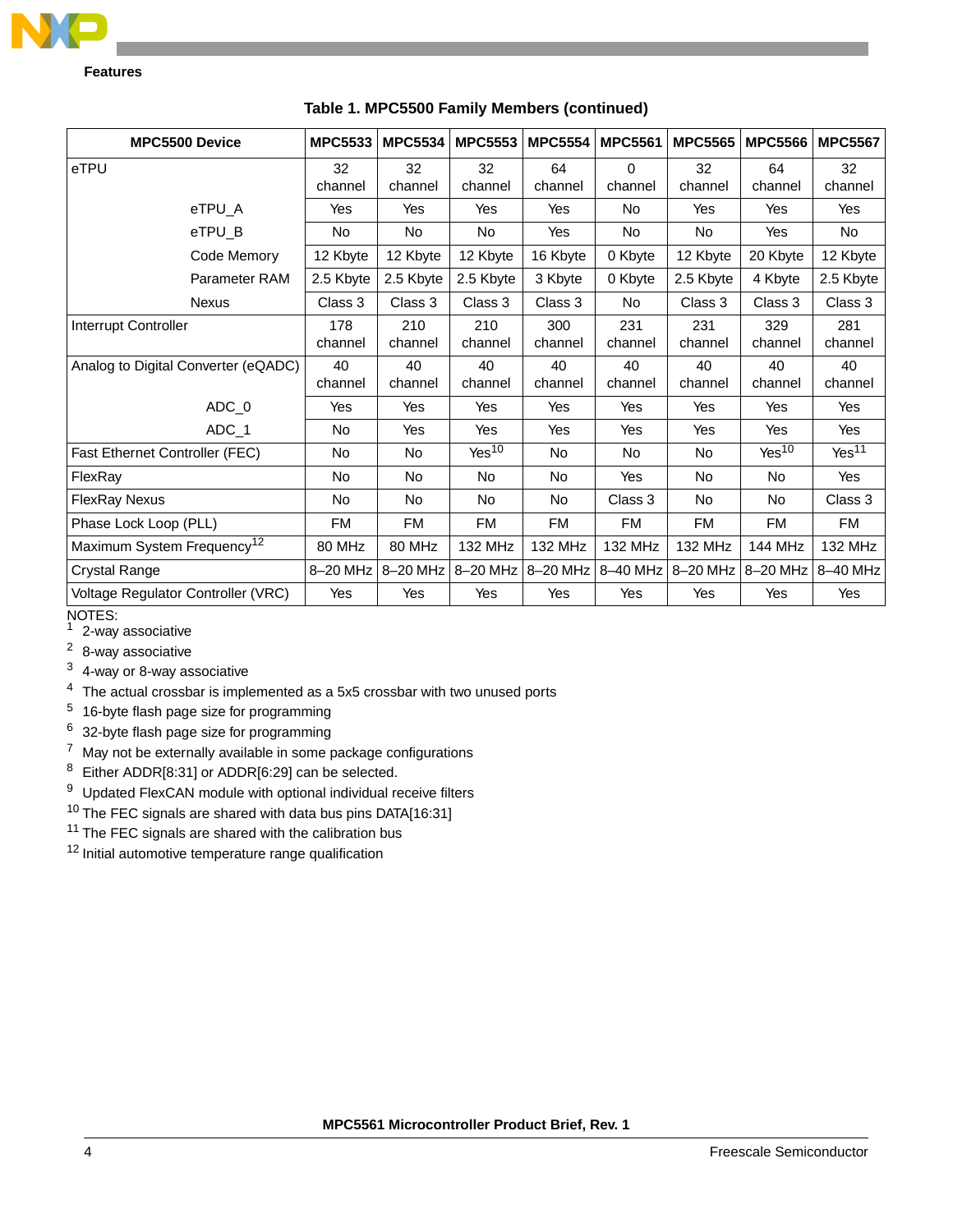

| <b>MPC5500 Device</b>                  | <b>MPC5533</b> | <b>MPC5534</b> | <b>MPC5553</b>    | <b>MPC5554</b> | <b>MPC5561</b>         | <b>MPC5565</b> | <b>MPC5566</b>    | <b>MPC5567</b>    |
|----------------------------------------|----------------|----------------|-------------------|----------------|------------------------|----------------|-------------------|-------------------|
| eTPU                                   | 32<br>channel  | 32<br>channel  | 32<br>channel     | 64<br>channel  | $\mathbf 0$<br>channel | 32<br>channel  | 64<br>channel     | 32<br>channel     |
| eTPU_A                                 | Yes            | Yes            | Yes               | Yes            | No                     | Yes            | Yes               | Yes               |
| eTPU_B                                 | No.            | No             | No                | Yes            | No                     | No             | Yes               | No.               |
| Code Memory                            | 12 Kbyte       | 12 Kbyte       | 12 Kbyte          | 16 Kbyte       | 0 Kbyte                | 12 Kbyte       | 20 Kbyte          | 12 Kbyte          |
| Parameter RAM                          | 2.5 Kbyte      | 2.5 Kbyte      | 2.5 Kbyte         | 3 Kbyte        | 0 Kbyte                | 2.5 Kbyte      | 4 Kbyte           | 2.5 Kbyte         |
| <b>Nexus</b>                           | Class 3        | Class 3        | Class 3           | Class 3        | No                     | Class 3        | Class 3           | Class 3           |
| Interrupt Controller                   | 178<br>channel | 210<br>channel | 210<br>channel    | 300<br>channel | 231<br>channel         | 231<br>channel | 329<br>channel    | 281<br>channel    |
| Analog to Digital Converter (eQADC)    | 40<br>channel  | 40<br>channel  | 40<br>channel     | 40<br>channel  | 40<br>channel          | 40<br>channel  | 40<br>channel     | 40<br>channel     |
| ADC_0                                  | Yes            | Yes            | Yes               | Yes            | Yes                    | Yes            | Yes               | Yes               |
| $ADC_1$                                | No             | Yes            | Yes               | Yes            | Yes                    | Yes            | Yes               | Yes               |
| Fast Ethernet Controller (FEC)         | <b>No</b>      | No             | Yes <sup>10</sup> | No             | <b>No</b>              | No             | Yes <sup>10</sup> | Yes <sup>11</sup> |
| FlexRay                                | <b>No</b>      | No             | <b>No</b>         | No             | Yes                    | No             | <b>No</b>         | Yes               |
| <b>FlexRay Nexus</b>                   | No.            | No             | No.               | <b>No</b>      | Class 3                | No             | No.               | Class 3           |
| Phase Lock Loop (PLL)                  | <b>FM</b>      | <b>FM</b>      | <b>FM</b>         | <b>FM</b>      | FM                     | FM             | <b>FM</b>         | FM                |
| Maximum System Frequency <sup>12</sup> | 80 MHz         | 80 MHz         | <b>132 MHz</b>    | <b>132 MHz</b> | <b>132 MHz</b>         | 132 MHz        | <b>144 MHz</b>    | 132 MHz           |
| <b>Crystal Range</b>                   | 8-20 MHz       | 8-20 MHz       | 8-20 MHz          | 8-20 MHz       | 8-40 MHz               | 8-20 MHz       | 8-20 MHz          | 8-40 MHz          |
| Voltage Regulator Controller (VRC)     | Yes            | Yes            | Yes               | Yes            | Yes                    | Yes            | Yes               | Yes               |

#### **Table 1. MPC5500 Family Members (continued)**

NOTES:

2-way associative

<sup>2</sup> 8-way associative

<sup>3</sup> 4-way or 8-way associative

<sup>4</sup> The actual crossbar is implemented as a 5x5 crossbar with two unused ports

<sup>5</sup> 16-byte flash page size for programming

<sup>6</sup> 32-byte flash page size for programming

<sup>7</sup> May not be externally available in some package configurations

<sup>8</sup> Either ADDR[8:31] or ADDR[6:29] can be selected.

<sup>9</sup> Updated FlexCAN module with optional individual receive filters

<sup>10</sup> The FEC signals are shared with data bus pins DATA[16:31]

<sup>11</sup> The FEC signals are shared with the calibration bus

<sup>12</sup> Initial automotive temperature range qualification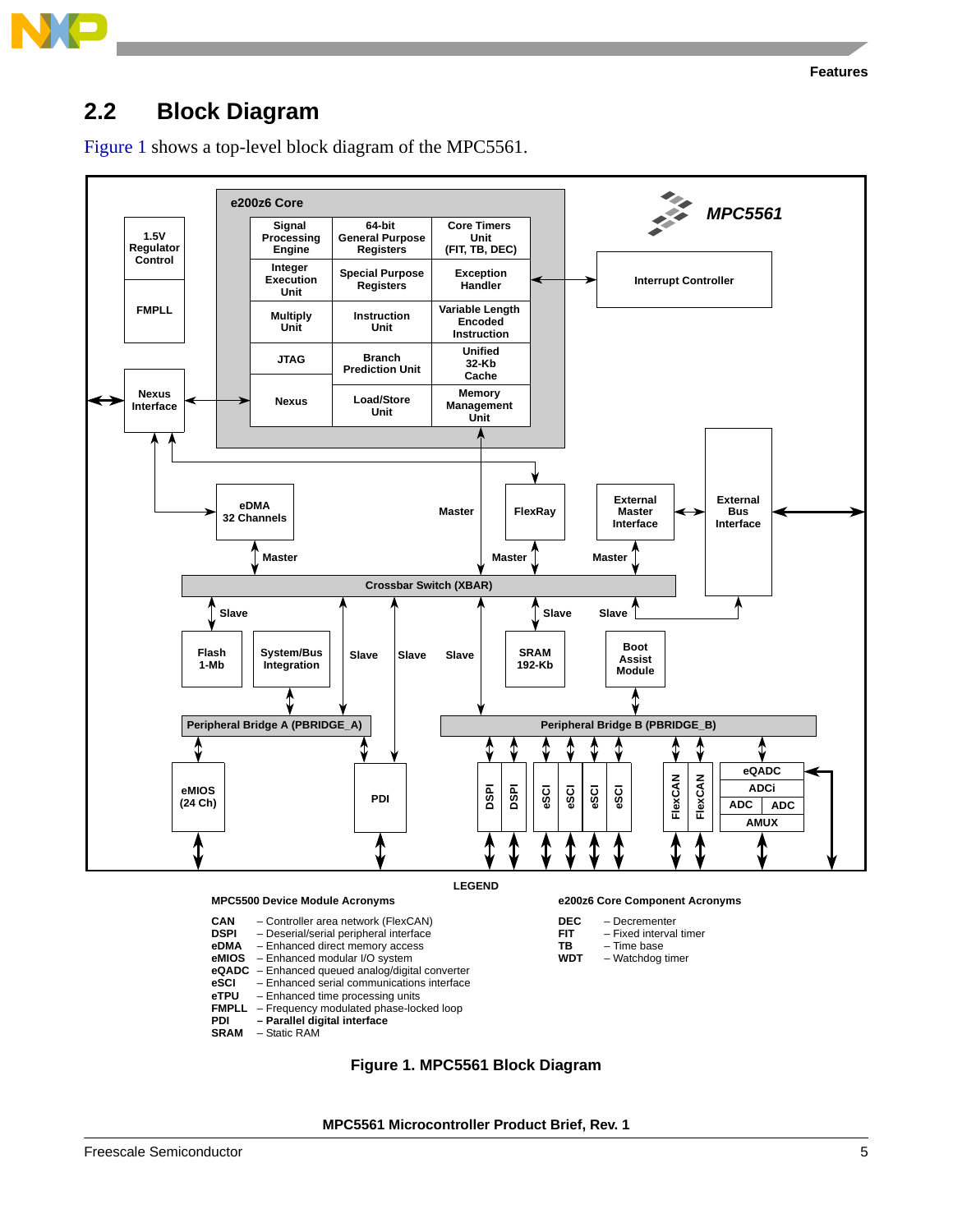

#### <span id="page-4-0"></span>**2.2 Block Diagram**

Figure 1 shows a top-level block diagram of the MPC5561.





**MPC5561 Microcontroller Product Brief, Rev. 1**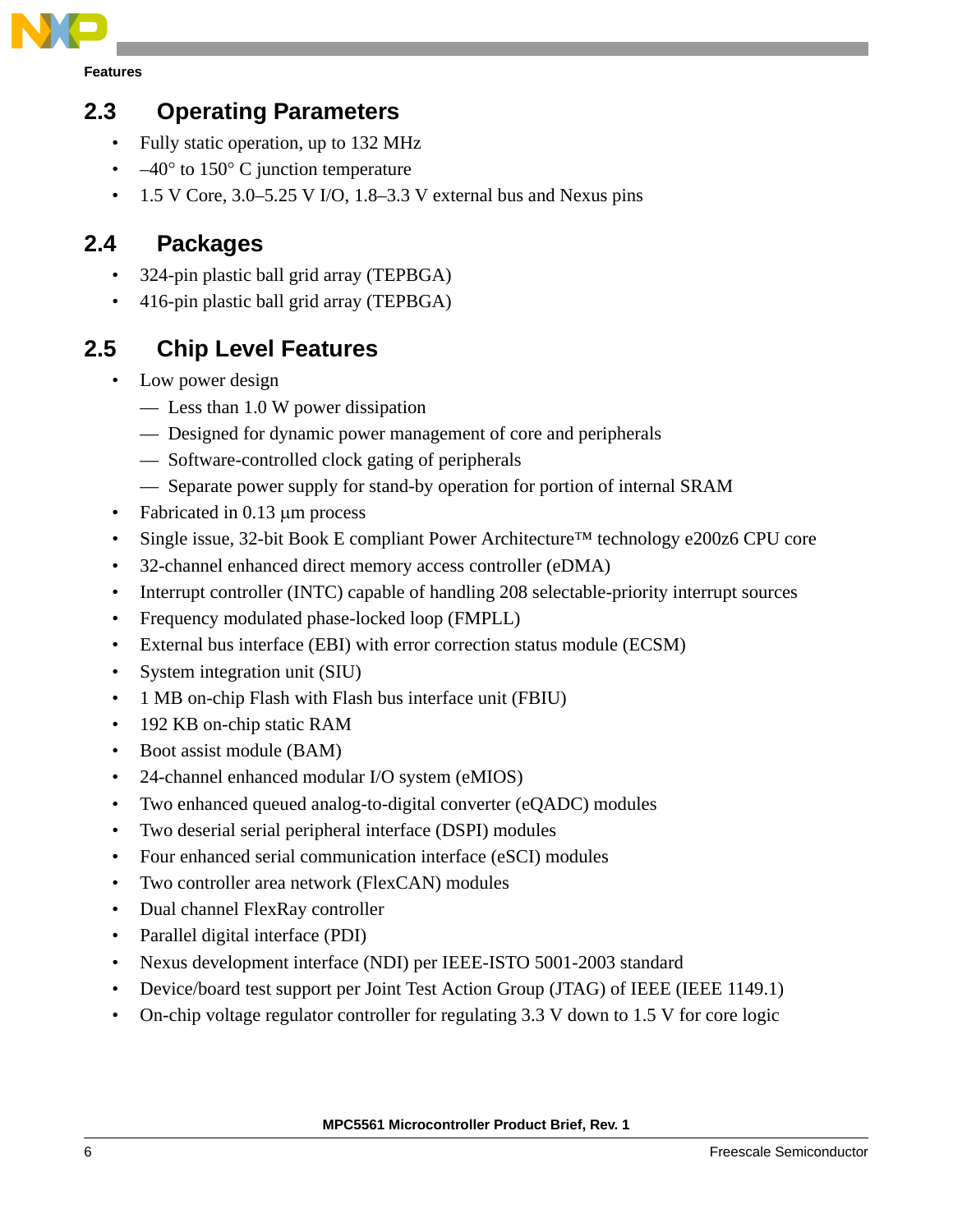

### <span id="page-5-0"></span>**2.3 Operating Parameters**

- Fully static operation, up to 132 MHz
- $-40^{\circ}$  to 150° C junction temperature
- $\cdot$  1.5 V Core, 3.0–5.25 V I/O, 1.8–3.3 V external bus and Nexus pins

### <span id="page-5-1"></span>**2.4 Packages**

- 324-pin plastic ball grid array (TEPBGA)
- 416-pin plastic ball grid array (TEPBGA)

### <span id="page-5-2"></span>**2.5 Chip Level Features**

- Low power design
	- Less than 1.0 W power dissipation
	- Designed for dynamic power management of core and peripherals
	- Software-controlled clock gating of peripherals
	- Separate power supply for stand-by operation for portion of internal SRAM
- Fabricated in 0.13 μm process
- Single issue, 32-bit Book E compliant Power Architecture™ technology e200z6 CPU core
- 32-channel enhanced direct memory access controller (eDMA)
- Interrupt controller (INTC) capable of handling 208 selectable-priority interrupt sources
- Frequency modulated phase-locked loop (FMPLL)
- External bus interface (EBI) with error correction status module (ECSM)
- System integration unit (SIU)
- 1 MB on-chip Flash with Flash bus interface unit (FBIU)
- 192 KB on-chip static RAM
- Boot assist module (BAM)
- 24-channel enhanced modular I/O system (eMIOS)
- Two enhanced queued analog-to-digital converter (eQADC) modules
- Two deserial serial peripheral interface (DSPI) modules
- Four enhanced serial communication interface (eSCI) modules
- Two controller area network (FlexCAN) modules
- Dual channel FlexRay controller
- Parallel digital interface (PDI)
- Nexus development interface (NDI) per IEEE-ISTO 5001-2003 standard
- Device/board test support per Joint Test Action Group (JTAG) of IEEE (IEEE 1149.1)
- On-chip voltage regulator controller for regulating 3.3 V down to 1.5 V for core logic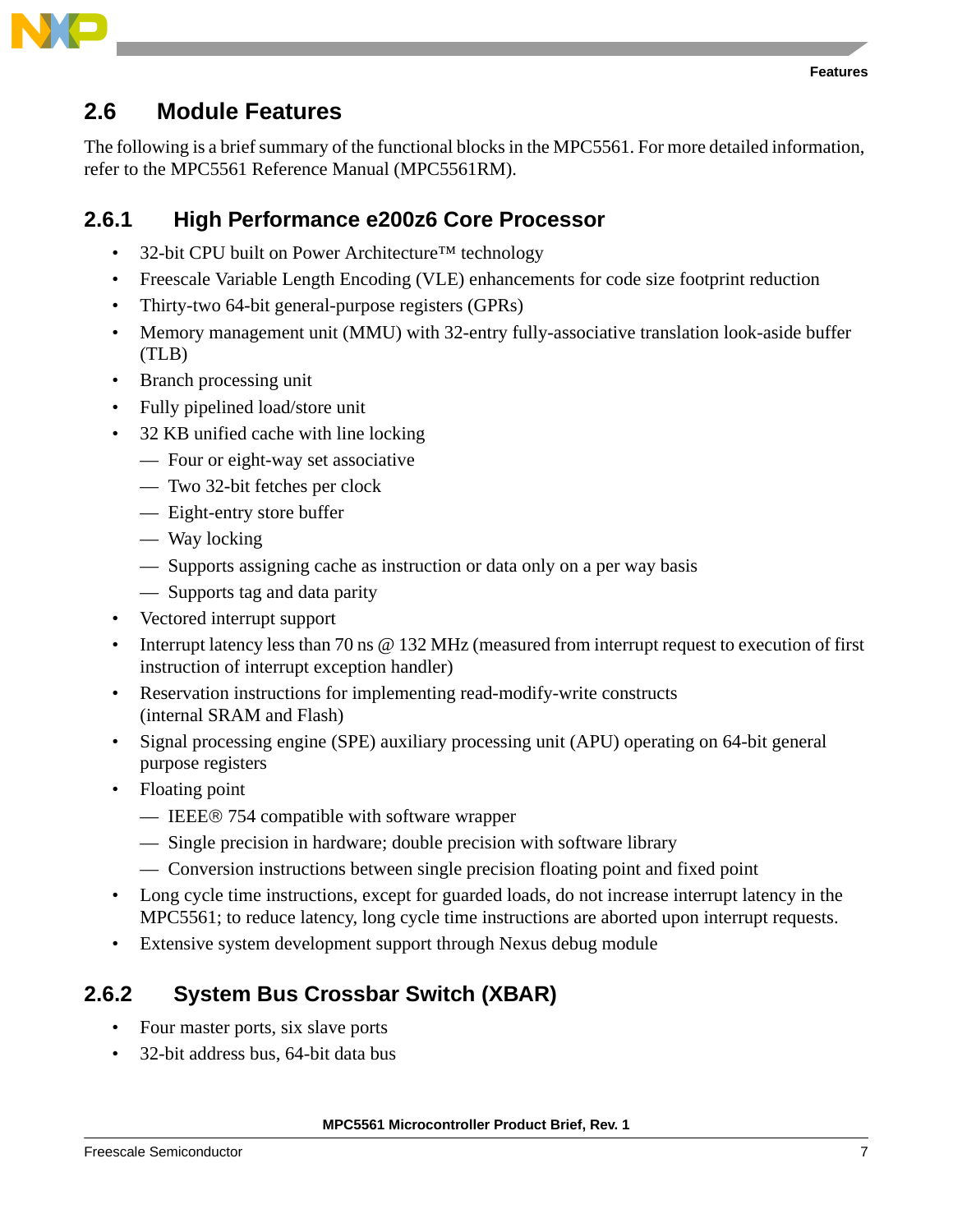

#### <span id="page-6-0"></span>**2.6 Module Features**

The following is a brief summary of the functional blocks in the MPC5561. For more detailed information, refer to the MPC5561 Reference Manual (MPC5561RM).

#### **2.6.1 High Performance e200z6 Core Processor**

- 32-bit CPU built on Power Architecture<sup>™</sup> technology
- Freescale Variable Length Encoding (VLE) enhancements for code size footprint reduction
- Thirty-two 64-bit general-purpose registers (GPRs)
- Memory management unit (MMU) with 32-entry fully-associative translation look-aside buffer (TLB)
- Branch processing unit
- Fully pipelined load/store unit
- 32 KB unified cache with line locking
	- Four or eight-way set associative
	- Two 32-bit fetches per clock
	- Eight-entry store buffer
	- Way locking
	- Supports assigning cache as instruction or data only on a per way basis
	- Supports tag and data parity
- Vectored interrupt support
- Interrupt latency less than 70 ns @ 132 MHz (measured from interrupt request to execution of first instruction of interrupt exception handler)
- Reservation instructions for implementing read-modify-write constructs (internal SRAM and Flash)
- Signal processing engine (SPE) auxiliary processing unit (APU) operating on 64-bit general purpose registers
- Floating point
	- IEEE® 754 compatible with software wrapper
	- Single precision in hardware; double precision with software library
	- Conversion instructions between single precision floating point and fixed point
- Long cycle time instructions, except for guarded loads, do not increase interrupt latency in the MPC5561; to reduce latency, long cycle time instructions are aborted upon interrupt requests.
- Extensive system development support through Nexus debug module

#### **2.6.2 System Bus Crossbar Switch (XBAR)**

- Four master ports, six slave ports
- 32-bit address bus, 64-bit data bus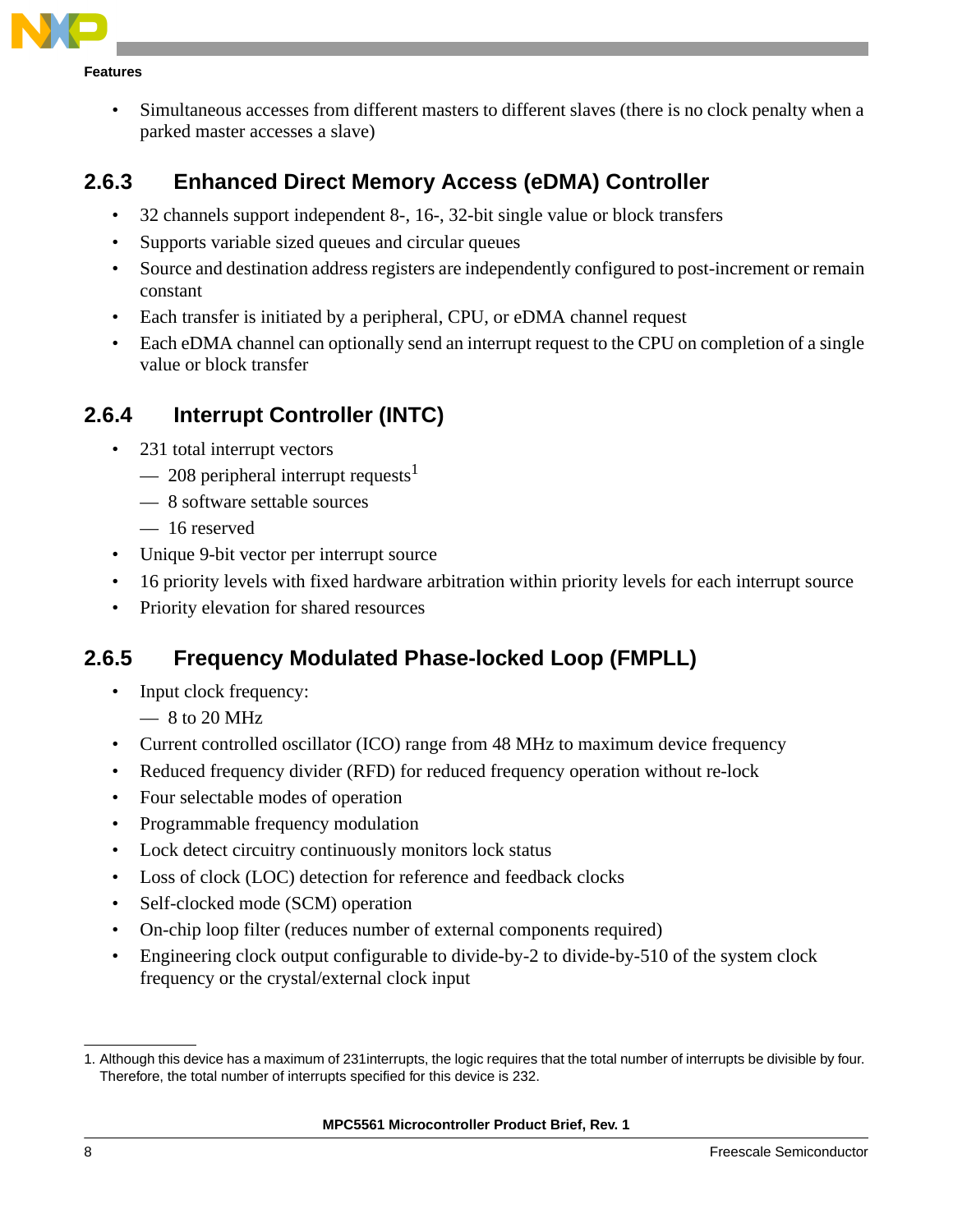

• Simultaneous accesses from different masters to different slaves (there is no clock penalty when a parked master accesses a slave)

### **2.6.3 Enhanced Direct Memory Access (eDMA) Controller**

- 32 channels support independent 8-, 16-, 32-bit single value or block transfers
- Supports variable sized queues and circular queues
- Source and destination address registers are independently configured to post-increment or remain constant
- Each transfer is initiated by a peripheral, CPU, or eDMA channel request
- Each eDMA channel can optionally send an interrupt request to the CPU on completion of a single value or block transfer

#### **2.6.4 Interrupt Controller (INTC)**

- 231 total interrupt vectors
	- $-208$  peripheral interrupt requests<sup>1</sup>
	- 8 software settable sources
	- 16 reserved
- Unique 9-bit vector per interrupt source
- 16 priority levels with fixed hardware arbitration within priority levels for each interrupt source
- Priority elevation for shared resources

#### **2.6.5 Frequency Modulated Phase-locked Loop (FMPLL)**

- Input clock frequency:
	- $-8$  to 20 MHz
- Current controlled oscillator (ICO) range from 48 MHz to maximum device frequency
- Reduced frequency divider (RFD) for reduced frequency operation without re-lock
- Four selectable modes of operation
- Programmable frequency modulation
- Lock detect circuitry continuously monitors lock status
- Loss of clock (LOC) detection for reference and feedback clocks
- Self-clocked mode (SCM) operation
- On-chip loop filter (reduces number of external components required)
- Engineering clock output configurable to divide-by-2 to divide-by-510 of the system clock frequency or the crystal/external clock input

<sup>1.</sup> Although this device has a maximum of 231interrupts, the logic requires that the total number of interrupts be divisible by four. Therefore, the total number of interrupts specified for this device is 232.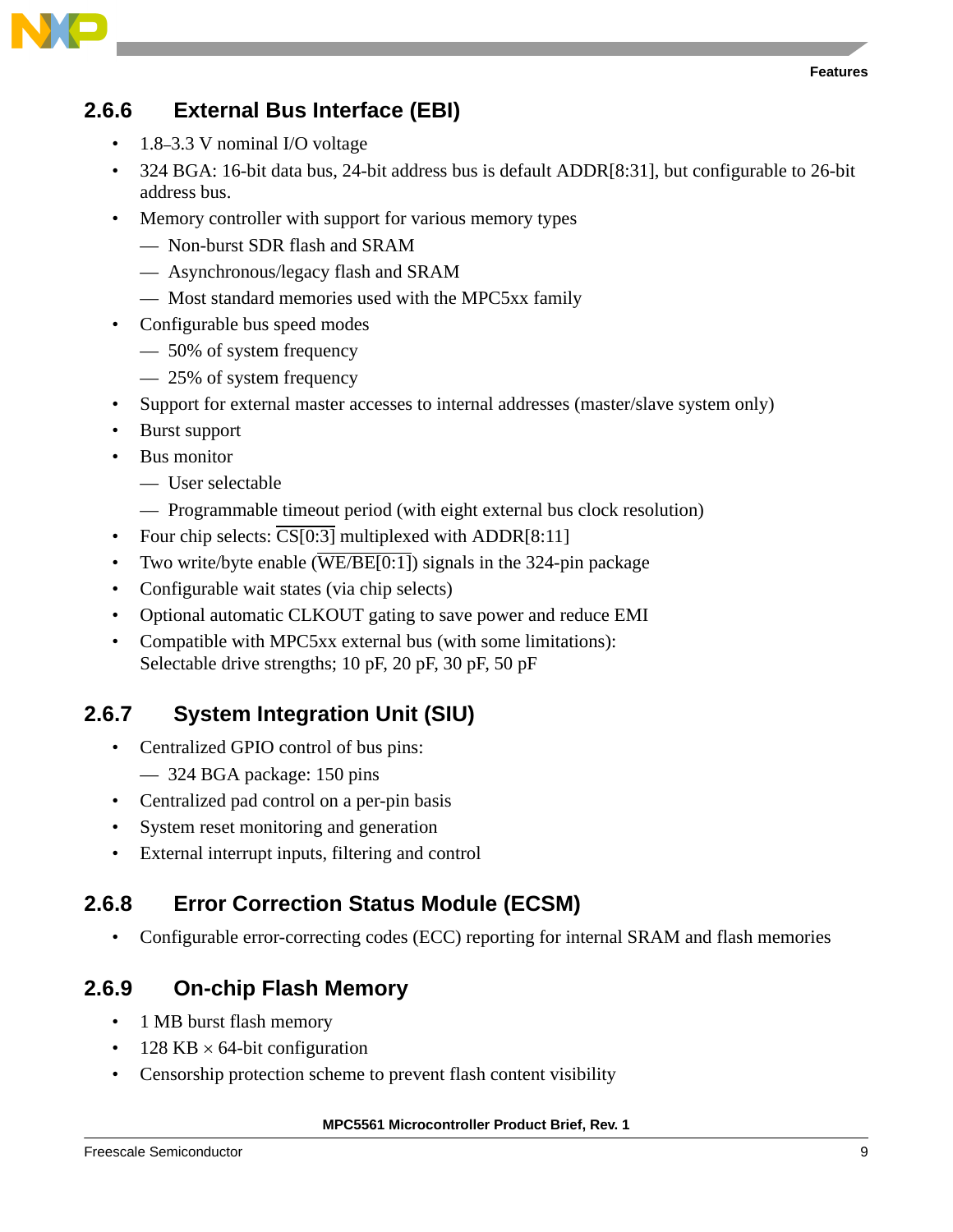

### **2.6.6 External Bus Interface (EBI)**

- 1.8–3.3 V nominal I/O voltage
- 324 BGA: 16-bit data bus, 24-bit address bus is default ADDR[8:31], but configurable to 26-bit address bus.
- Memory controller with support for various memory types
	- Non-burst SDR flash and SRAM
	- Asynchronous/legacy flash and SRAM
	- Most standard memories used with the MPC5xx family
- Configurable bus speed modes
	- 50% of system frequency
	- 25% of system frequency
- Support for external master accesses to internal addresses (master/slave system only)
- Burst support
- Bus monitor
	- User selectable
	- Programmable timeout period (with eight external bus clock resolution)
- Four chip selects:  $\overline{CS[0:3]}$  multiplexed with ADDR[8:11]
- Two write/byte enable  $(\overline{WE/BE[0:1]})$  signals in the 324-pin package
- Configurable wait states (via chip selects)
- Optional automatic CLKOUT gating to save power and reduce EMI
- Compatible with MPC5xx external bus (with some limitations): Selectable drive strengths; 10 pF, 20 pF, 30 pF, 50 pF

#### **2.6.7 System Integration Unit (SIU)**

- Centralized GPIO control of bus pins:
	- 324 BGA package: 150 pins
- Centralized pad control on a per-pin basis
- System reset monitoring and generation
- External interrupt inputs, filtering and control

#### **2.6.8 Error Correction Status Module (ECSM)**

• Configurable error-correcting codes (ECC) reporting for internal SRAM and flash memories

#### **2.6.9 On-chip Flash Memory**

- 1 MB burst flash memory
- 128 KB  $\times$  64-bit configuration
- Censorship protection scheme to prevent flash content visibility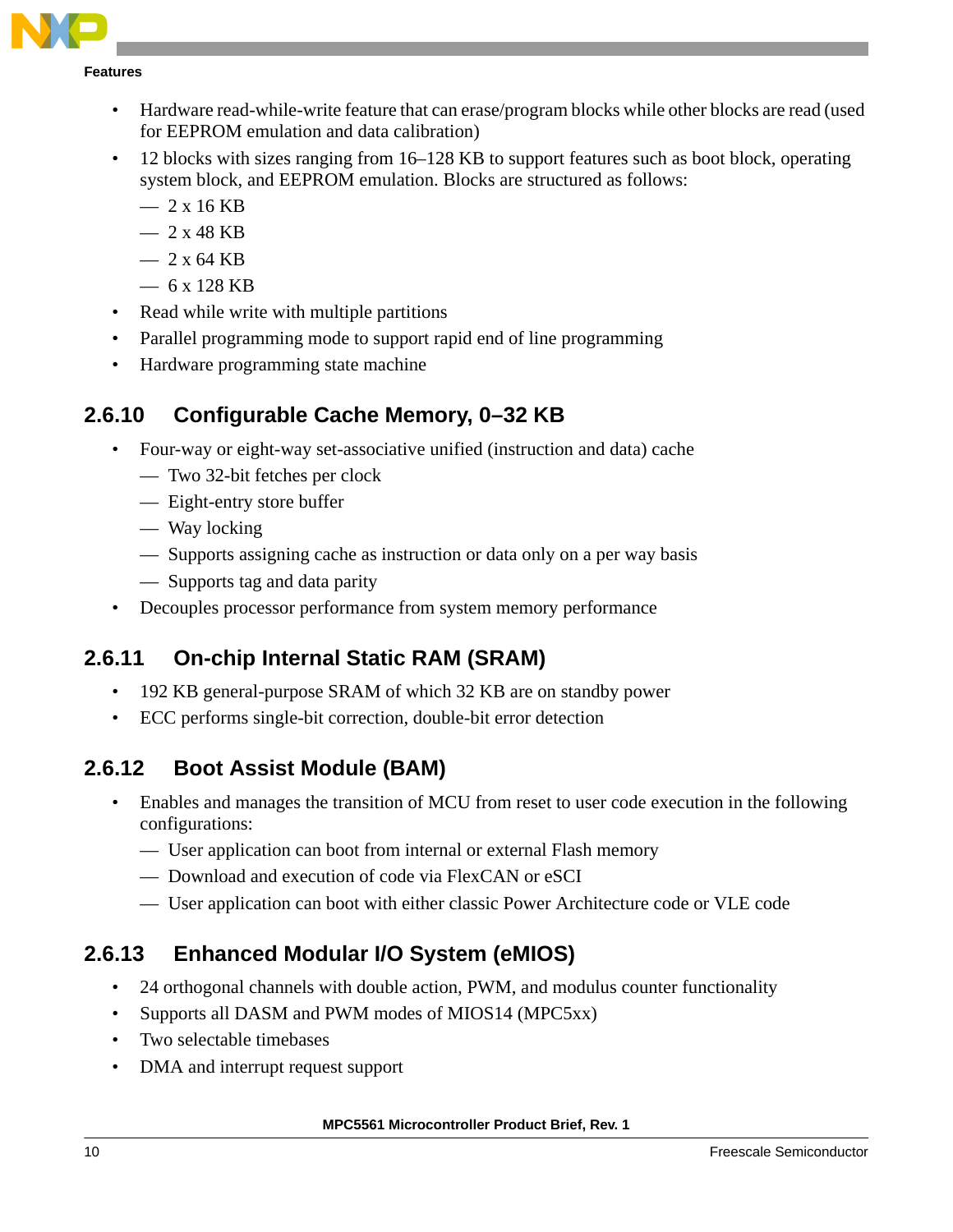

- Hardware read-while-write feature that can erase/program blocks while other blocks are read (used for EEPROM emulation and data calibration)
- 12 blocks with sizes ranging from 16–128 KB to support features such as boot block, operating system block, and EEPROM emulation. Blocks are structured as follows:
	- $-2x16KB$
	- $-2x48KB$
	- $-2x$  64 KB
	- $-6x128KB$
- Read while write with multiple partitions
- Parallel programming mode to support rapid end of line programming
- Hardware programming state machine

### **2.6.10 Configurable Cache Memory, 0–32 KB**

- Four-way or eight-way set-associative unified (instruction and data) cache
	- Two 32-bit fetches per clock
	- Eight-entry store buffer
	- Way locking
	- Supports assigning cache as instruction or data only on a per way basis
	- Supports tag and data parity
- Decouples processor performance from system memory performance

#### **2.6.11 On-chip Internal Static RAM (SRAM)**

- 192 KB general-purpose SRAM of which 32 KB are on standby power
- ECC performs single-bit correction, double-bit error detection

## **2.6.12 Boot Assist Module (BAM)**

- Enables and manages the transition of MCU from reset to user code execution in the following configurations:
	- User application can boot from internal or external Flash memory
	- Download and execution of code via FlexCAN or eSCI
	- User application can boot with either classic Power Architecture code or VLE code

## **2.6.13 Enhanced Modular I/O System (eMIOS)**

- 24 orthogonal channels with double action, PWM, and modulus counter functionality
- Supports all DASM and PWM modes of MIOS14 (MPC5xx)
- Two selectable timebases
- DMA and interrupt request support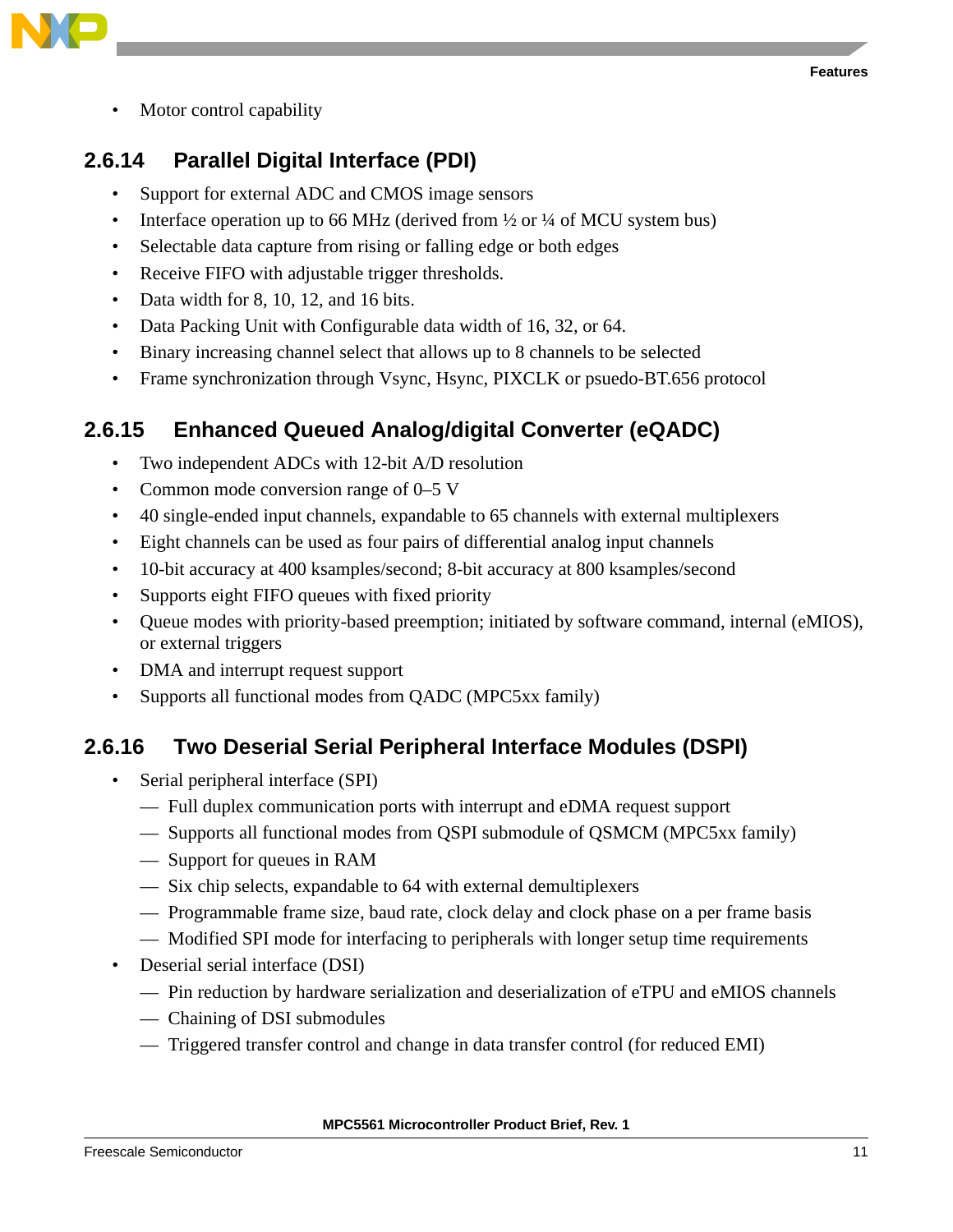

• Motor control capability

#### **2.6.14 Parallel Digital Interface (PDI)**

- Support for external ADC and CMOS image sensors
- Interface operation up to 66 MHz (derived from ½ or ¼ of MCU system bus)
- Selectable data capture from rising or falling edge or both edges
- Receive FIFO with adjustable trigger thresholds.
- Data width for 8, 10, 12, and 16 bits.
- Data Packing Unit with Configurable data width of 16, 32, or 64.
- Binary increasing channel select that allows up to 8 channels to be selected
- Frame synchronization through Vsync, Hsync, PIXCLK or psuedo-BT.656 protocol

#### **2.6.15 Enhanced Queued Analog/digital Converter (eQADC)**

- Two independent ADCs with 12-bit A/D resolution
- Common mode conversion range of 0–5 V
- 40 single-ended input channels, expandable to 65 channels with external multiplexers
- Eight channels can be used as four pairs of differential analog input channels
- 10-bit accuracy at 400 ksamples/second; 8-bit accuracy at 800 ksamples/second
- Supports eight FIFO queues with fixed priority
- Queue modes with priority-based preemption; initiated by software command, internal (eMIOS), or external triggers
- DMA and interrupt request support
- Supports all functional modes from QADC (MPC5xx family)

#### **2.6.16 Two Deserial Serial Peripheral Interface Modules (DSPI)**

- Serial peripheral interface (SPI)
	- Full duplex communication ports with interrupt and eDMA request support
	- Supports all functional modes from QSPI submodule of QSMCM (MPC5xx family)
	- Support for queues in RAM
	- Six chip selects, expandable to 64 with external demultiplexers
	- Programmable frame size, baud rate, clock delay and clock phase on a per frame basis
	- Modified SPI mode for interfacing to peripherals with longer setup time requirements
- Deserial serial interface (DSI)
	- Pin reduction by hardware serialization and deserialization of eTPU and eMIOS channels
	- Chaining of DSI submodules
	- Triggered transfer control and change in data transfer control (for reduced EMI)

**MPC5561 Microcontroller Product Brief, Rev. 1**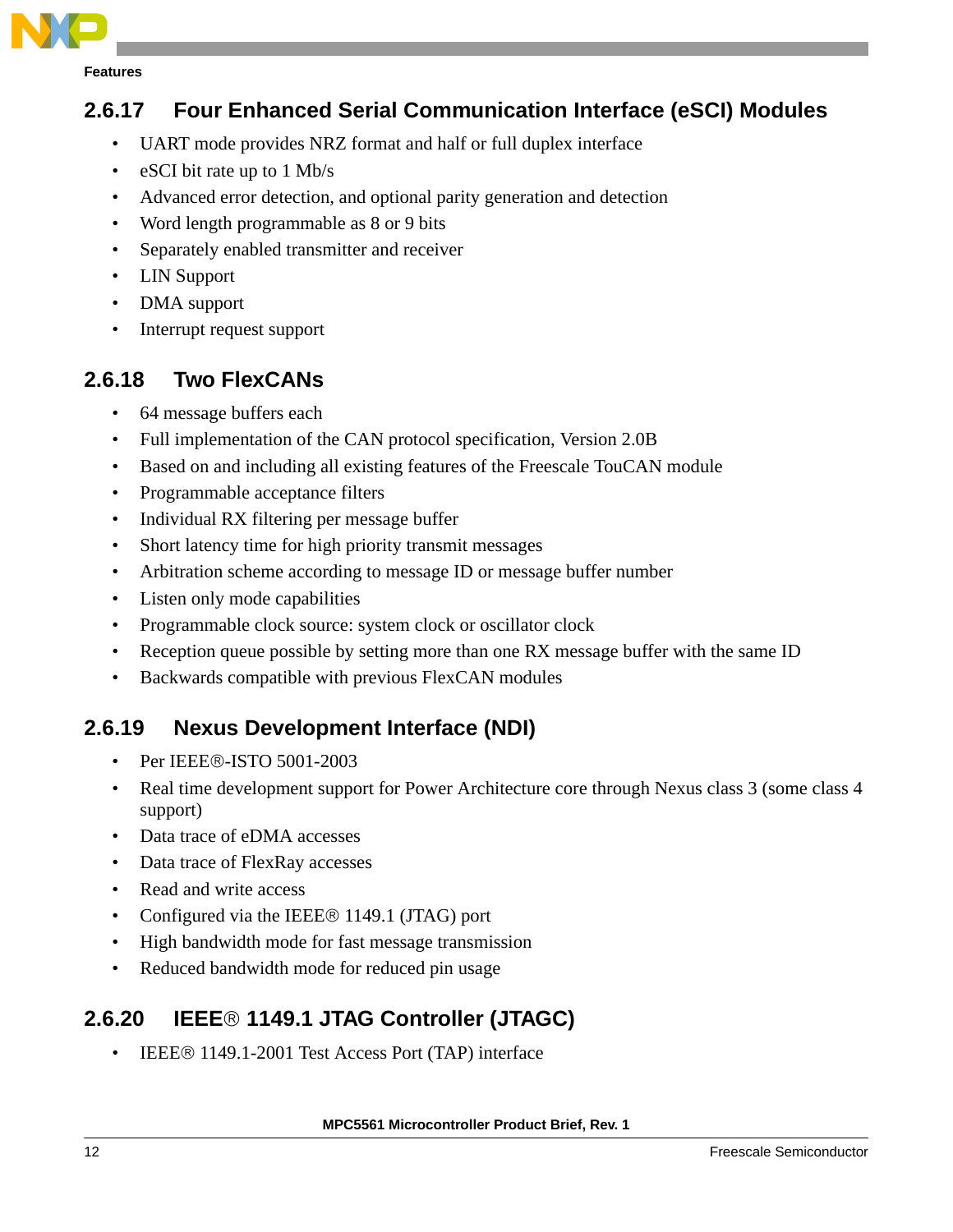

#### **2.6.17 Four Enhanced Serial Communication Interface (eSCI) Modules**

- UART mode provides NRZ format and half or full duplex interface
- eSCI bit rate up to 1 Mb/s
- Advanced error detection, and optional parity generation and detection
- Word length programmable as 8 or 9 bits
- Separately enabled transmitter and receiver
- LIN Support
- DMA support
- Interrupt request support

#### **2.6.18 Two FlexCANs**

- 64 message buffers each
- Full implementation of the CAN protocol specification, Version 2.0B
- Based on and including all existing features of the Freescale TouCAN module
- Programmable acceptance filters
- Individual RX filtering per message buffer
- Short latency time for high priority transmit messages
- Arbitration scheme according to message ID or message buffer number
- Listen only mode capabilities
- Programmable clock source: system clock or oscillator clock
- Reception queue possible by setting more than one RX message buffer with the same ID
- Backwards compatible with previous FlexCAN modules

#### **2.6.19 Nexus Development Interface (NDI)**

- Per IEEE®-ISTO 5001-2003
- Real time development support for Power Architecture core through Nexus class 3 (some class 4 support)
- Data trace of eDMA accesses
- Data trace of FlexRay accesses
- Read and write access
- Configured via the IEEE® 1149.1 (JTAG) port
- High bandwidth mode for fast message transmission
- Reduced bandwidth mode for reduced pin usage

#### **2.6.20 IEEE**® **1149.1 JTAG Controller (JTAGC)**

• IEEE® 1149.1-2001 Test Access Port (TAP) interface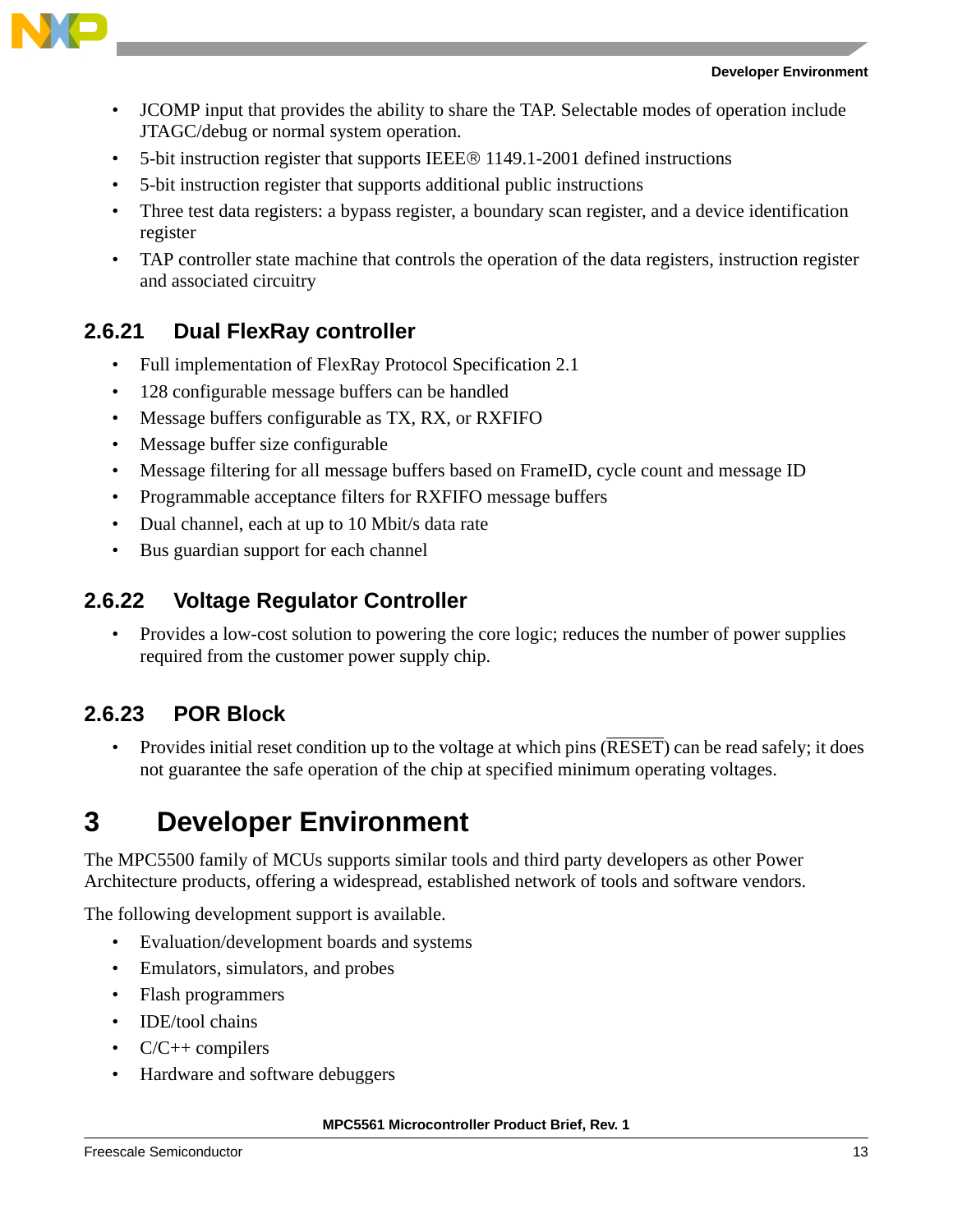

- JCOMP input that provides the ability to share the TAP. Selectable modes of operation include JTAGC/debug or normal system operation.
- 5-bit instruction register that supports IEEE® 1149.1-2001 defined instructions
- 5-bit instruction register that supports additional public instructions
- Three test data registers: a bypass register, a boundary scan register, and a device identification register
- TAP controller state machine that controls the operation of the data registers, instruction register and associated circuitry

## **2.6.21 Dual FlexRay controller**

- Full implementation of FlexRay Protocol Specification 2.1
- 128 configurable message buffers can be handled
- Message buffers configurable as TX, RX, or RXFIFO
- Message buffer size configurable
- Message filtering for all message buffers based on FrameID, cycle count and message ID
- Programmable acceptance filters for RXFIFO message buffers
- Dual channel, each at up to 10 Mbit/s data rate
- Bus guardian support for each channel

## **2.6.22 Voltage Regulator Controller**

• Provides a low-cost solution to powering the core logic; reduces the number of power supplies required from the customer power supply chip.

## **2.6.23 POR Block**

Provides initial reset condition up to the voltage at which pins  $(\overline{\text{RESET}})$  can be read safely; it does not guarantee the safe operation of the chip at specified minimum operating voltages.

# <span id="page-12-0"></span>**3 Developer Environment**

The MPC5500 family of MCUs supports similar tools and third party developers as other Power Architecture products, offering a widespread, established network of tools and software vendors.

The following development support is available.

- Evaluation/development boards and systems
- Emulators, simulators, and probes
- Flash programmers
- **IDE/tool** chains
- $C/C++$  compilers
- Hardware and software debuggers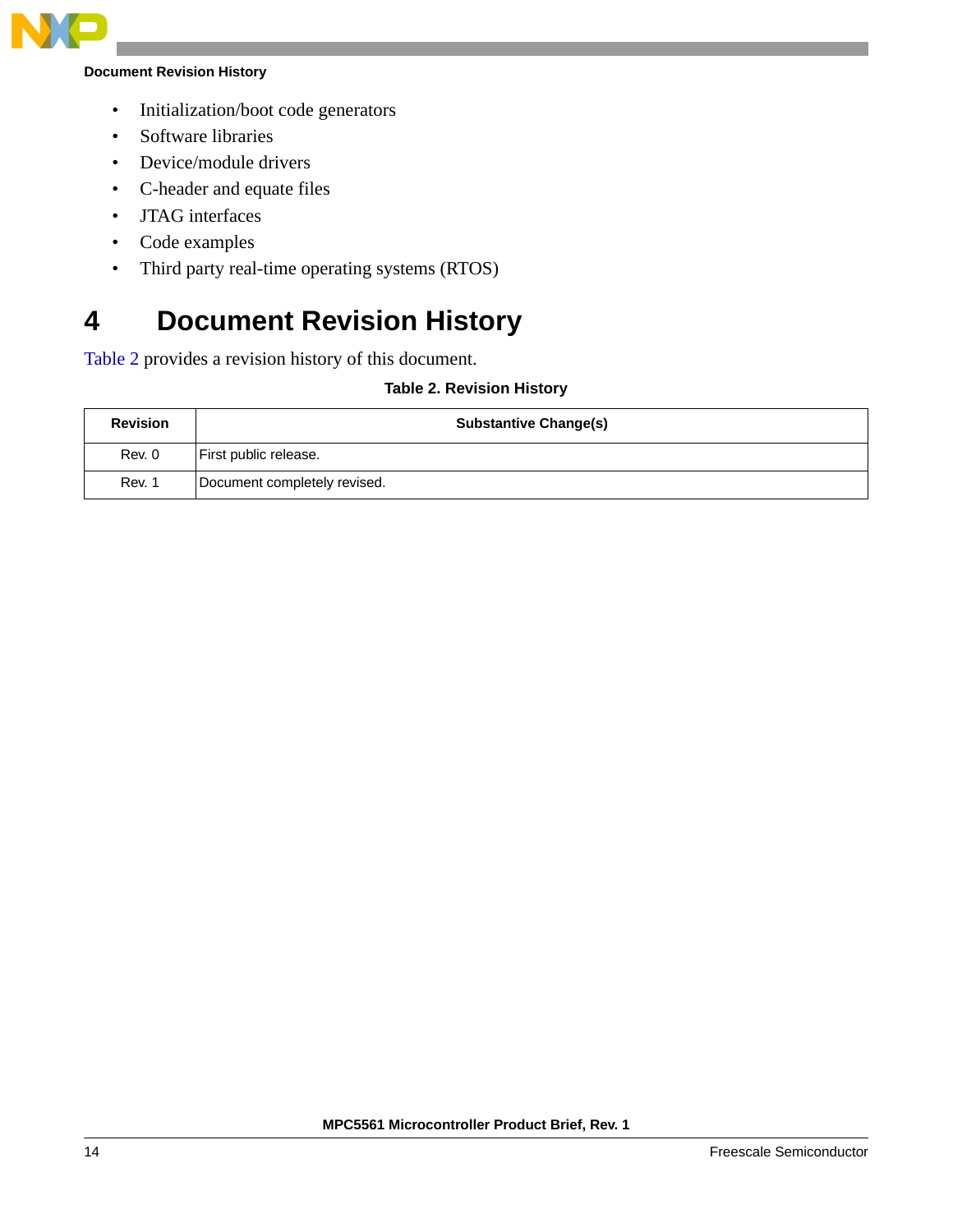

#### **Document Revision History**

- Initialization/boot code generators
- Software libraries
- Device/module drivers
- C-header and equate files
- JTAG interfaces
- Code examples
- Third party real-time operating systems (RTOS)

# <span id="page-13-0"></span>**4 Document Revision History**

Table 2 provides a revision history of this document.

#### **Table 2. Revision History**

| <b>Revision</b> | <b>Substantive Change(s)</b> |
|-----------------|------------------------------|
| Rev. 0          | First public release.        |
| Rev. 1          | Document completely revised. |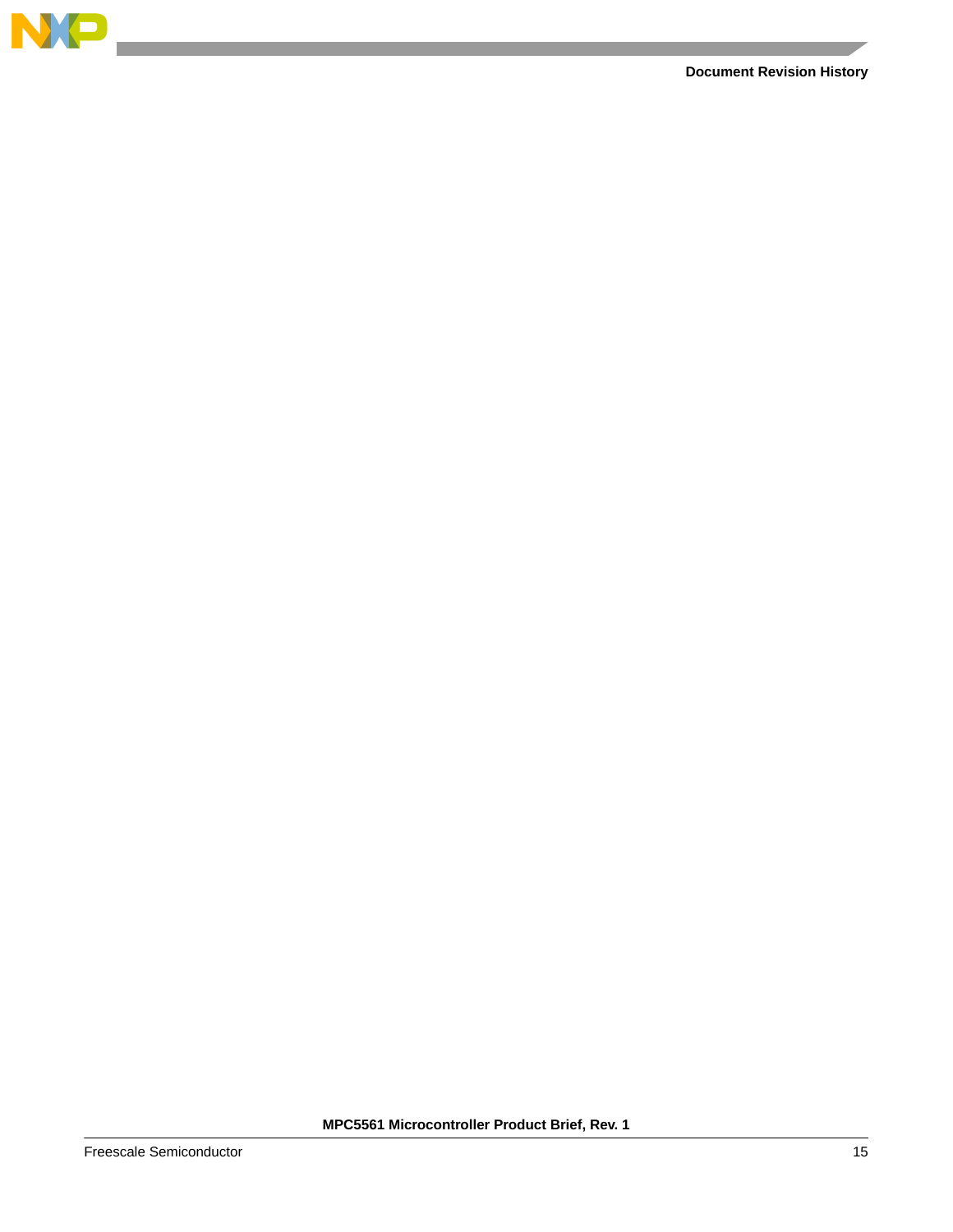

**Document Revision History**